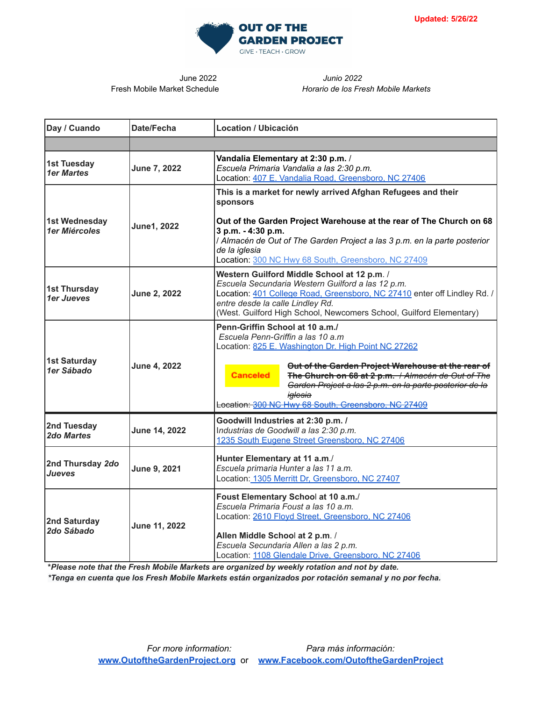

June 2022 *Junio 2022* Fresh Mobile Market Schedule *Horario de los Fresh Mobile Markets*

| Day / Cuando                            | Date/Fecha    | <b>Location / Ubicación</b>                                                                                                                                                                                                                                                                                                                                                                         |
|-----------------------------------------|---------------|-----------------------------------------------------------------------------------------------------------------------------------------------------------------------------------------------------------------------------------------------------------------------------------------------------------------------------------------------------------------------------------------------------|
|                                         |               |                                                                                                                                                                                                                                                                                                                                                                                                     |
| <b>1st Tuesday</b><br><b>1er Martes</b> | June 7, 2022  | Vandalia Elementary at 2:30 p.m. /<br>Escuela Primaria Vandalia a las 2:30 p.m.<br>Location: 407 E. Vandalia Road, Greensboro, NC 27406                                                                                                                                                                                                                                                             |
| 1st Wednesday<br>1er Miércoles          | June1, 2022   | This is a market for newly arrived Afghan Refugees and their<br>sponsors<br>Out of the Garden Project Warehouse at the rear of The Church on 68<br>3 p.m. - 4:30 p.m.<br>/ Almacén de Out of The Garden Project a las 3 p.m. en la parte posterior<br>de la iglesia<br>Location: 300 NC Hwy 68 South, Greensboro, NC 27409                                                                          |
| <b>1st Thursday</b><br>1er Jueves       | June 2, 2022  | Western Guilford Middle School at 12 p.m. /<br>Escuela Secundaria Western Guilford a las 12 p.m.<br>Location: 401 College Road, Greensboro, NC 27410 enter off Lindley Rd. /<br>entre desde la calle Lindley Rd.<br>(West. Guilford High School, Newcomers School, Guilford Elementary)                                                                                                             |
| <b>1st Saturday</b><br>1er Sábado       | June 4, 2022  | Penn-Griffin School at 10 a.m./<br>Escuela Penn-Griffin a las 10 a.m.<br>Location: 825 E. Washington Dr. High Point NC 27262<br>Out of the Garden Project Warehouse at the rear of<br><b>Canceled</b><br>The Church on 68 at 2 p.m. / Almacén de Out of The<br>Garden Project a las 2 p.m. en la parte posterior de la<br><del>iqlesia</del><br>Location: 300 NC Hwy 68 South, Greensboro, NC 27409 |
| 2nd Tuesday<br>2do Martes               | June 14, 2022 | Goodwill Industries at 2:30 p.m. /<br>Industrias de Goodwill a las 2:30 p.m.<br>1235 South Eugene Street Greensboro, NC 27406                                                                                                                                                                                                                                                                       |
| 2nd Thursday 2do<br>Jueves              | June 9, 2021  | Hunter Elementary at 11 a.m./<br>Escuela primaria Hunter a las 11 a.m.<br>Location: 1305 Merritt Dr, Greensboro, NC 27407                                                                                                                                                                                                                                                                           |
| 2nd Saturday<br>2do Sábado              | June 11, 2022 | Foust Elementary School at 10 a.m./<br>Escuela Primaria Foust a las 10 a.m.<br>Location: 2610 Floyd Street, Greensboro, NC 27406<br>Allen Middle School at 2 p.m. /<br>Escuela Secundaria Allen a las 2 p.m.<br>Location: 1108 Glendale Drive, Greensboro, NC 27406                                                                                                                                 |

**\****Please note that the Fresh Mobile Markets are organized by weekly rotation and not by date.*